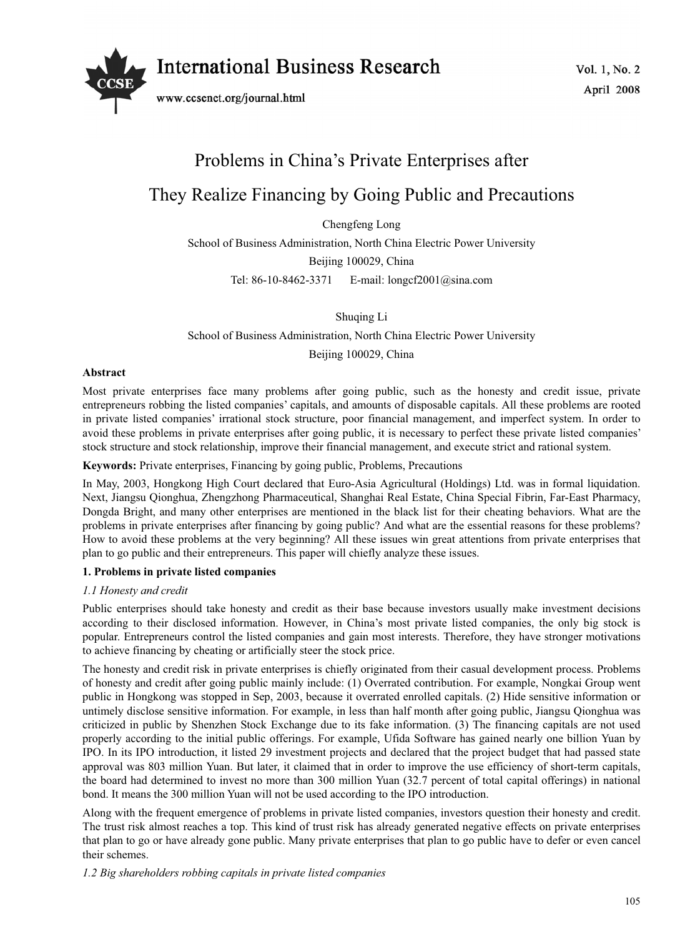

www.ccsenet.org/journal.html

# Problems in China's Private Enterprises after They Realize Financing by Going Public and Precautions

Chengfeng Long

School of Business Administration, North China Electric Power University Beijing 100029, China Tel: 86-10-8462-3371 E-mail: longcf2001@sina.com

Shuqing Li

School of Business Administration, North China Electric Power University

Beijing 100029, China

## **Abstract**

Most private enterprises face many problems after going public, such as the honesty and credit issue, private entrepreneurs robbing the listed companies' capitals, and amounts of disposable capitals. All these problems are rooted in private listed companies' irrational stock structure, poor financial management, and imperfect system. In order to avoid these problems in private enterprises after going public, it is necessary to perfect these private listed companies' stock structure and stock relationship, improve their financial management, and execute strict and rational system.

## **Keywords:** Private enterprises, Financing by going public, Problems, Precautions

In May, 2003, Hongkong High Court declared that Euro-Asia Agricultural (Holdings) Ltd. was in formal liquidation. Next, Jiangsu Qionghua, Zhengzhong Pharmaceutical, Shanghai Real Estate, China Special Fibrin, Far-East Pharmacy, Dongda Bright, and many other enterprises are mentioned in the black list for their cheating behaviors. What are the problems in private enterprises after financing by going public? And what are the essential reasons for these problems? How to avoid these problems at the very beginning? All these issues win great attentions from private enterprises that plan to go public and their entrepreneurs. This paper will chiefly analyze these issues.

## **1. Problems in private listed companies**

## *1.1 Honesty and credit*

Public enterprises should take honesty and credit as their base because investors usually make investment decisions according to their disclosed information. However, in China's most private listed companies, the only big stock is popular. Entrepreneurs control the listed companies and gain most interests. Therefore, they have stronger motivations to achieve financing by cheating or artificially steer the stock price.

The honesty and credit risk in private enterprises is chiefly originated from their casual development process. Problems of honesty and credit after going public mainly include: (1) Overrated contribution. For example, Nongkai Group went public in Hongkong was stopped in Sep, 2003, because it overrated enrolled capitals. (2) Hide sensitive information or untimely disclose sensitive information. For example, in less than half month after going public, Jiangsu Qionghua was criticized in public by Shenzhen Stock Exchange due to its fake information. (3) The financing capitals are not used properly according to the initial public offerings. For example, Ufida Software has gained nearly one billion Yuan by IPO. In its IPO introduction, it listed 29 investment projects and declared that the project budget that had passed state approval was 803 million Yuan. But later, it claimed that in order to improve the use efficiency of short-term capitals, the board had determined to invest no more than 300 million Yuan (32.7 percent of total capital offerings) in national bond. It means the 300 million Yuan will not be used according to the IPO introduction.

Along with the frequent emergence of problems in private listed companies, investors question their honesty and credit. The trust risk almost reaches a top. This kind of trust risk has already generated negative effects on private enterprises that plan to go or have already gone public. Many private enterprises that plan to go public have to defer or even cancel their schemes.

*1.2 Big shareholders robbing capitals in private listed companies*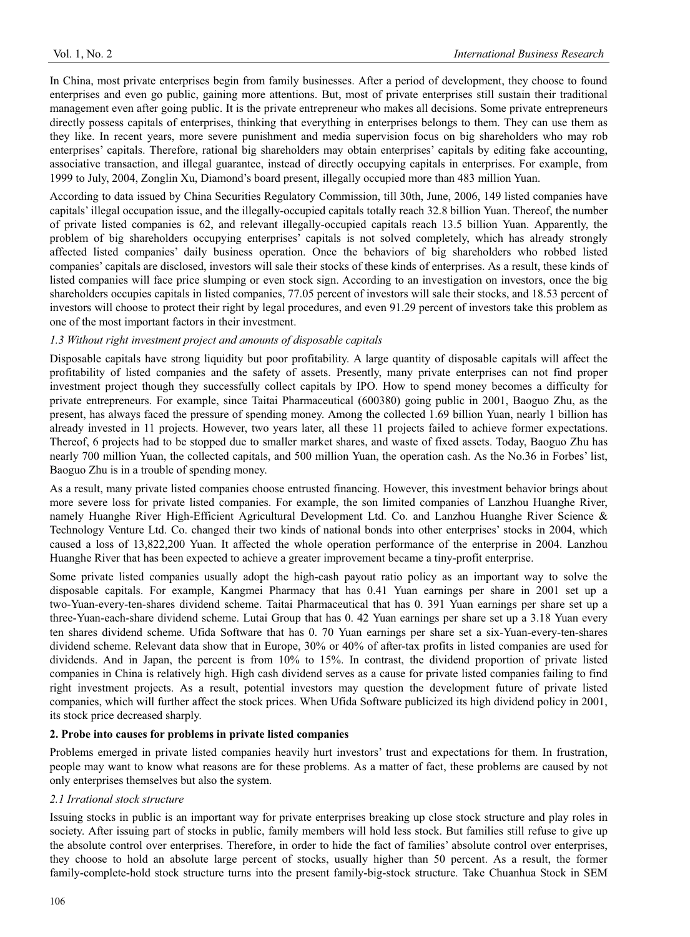In China, most private enterprises begin from family businesses. After a period of development, they choose to found enterprises and even go public, gaining more attentions. But, most of private enterprises still sustain their traditional management even after going public. It is the private entrepreneur who makes all decisions. Some private entrepreneurs directly possess capitals of enterprises, thinking that everything in enterprises belongs to them. They can use them as they like. In recent years, more severe punishment and media supervision focus on big shareholders who may rob enterprises' capitals. Therefore, rational big shareholders may obtain enterprises' capitals by editing fake accounting, associative transaction, and illegal guarantee, instead of directly occupying capitals in enterprises. For example, from 1999 to July, 2004, Zonglin Xu, Diamond's board present, illegally occupied more than 483 million Yuan.

According to data issued by China Securities Regulatory Commission, till 30th, June, 2006, 149 listed companies have capitals' illegal occupation issue, and the illegally-occupied capitals totally reach 32.8 billion Yuan. Thereof, the number of private listed companies is 62, and relevant illegally-occupied capitals reach 13.5 billion Yuan. Apparently, the problem of big shareholders occupying enterprises' capitals is not solved completely, which has already strongly affected listed companies' daily business operation. Once the behaviors of big shareholders who robbed listed companies' capitals are disclosed, investors will sale their stocks of these kinds of enterprises. As a result, these kinds of listed companies will face price slumping or even stock sign. According to an investigation on investors, once the big shareholders occupies capitals in listed companies, 77.05 percent of investors will sale their stocks, and 18.53 percent of investors will choose to protect their right by legal procedures, and even 91.29 percent of investors take this problem as one of the most important factors in their investment.

## *1.3 Without right investment project and amounts of disposable capitals*

Disposable capitals have strong liquidity but poor profitability. A large quantity of disposable capitals will affect the profitability of listed companies and the safety of assets. Presently, many private enterprises can not find proper investment project though they successfully collect capitals by IPO. How to spend money becomes a difficulty for private entrepreneurs. For example, since Taitai Pharmaceutical (600380) going public in 2001, Baoguo Zhu, as the present, has always faced the pressure of spending money. Among the collected 1.69 billion Yuan, nearly 1 billion has already invested in 11 projects. However, two years later, all these 11 projects failed to achieve former expectations. Thereof, 6 projects had to be stopped due to smaller market shares, and waste of fixed assets. Today, Baoguo Zhu has nearly 700 million Yuan, the collected capitals, and 500 million Yuan, the operation cash. As the No.36 in Forbes' list, Baoguo Zhu is in a trouble of spending money.

As a result, many private listed companies choose entrusted financing. However, this investment behavior brings about more severe loss for private listed companies. For example, the son limited companies of Lanzhou Huanghe River, namely Huanghe River High-Efficient Agricultural Development Ltd. Co. and Lanzhou Huanghe River Science & Technology Venture Ltd. Co. changed their two kinds of national bonds into other enterprises' stocks in 2004, which caused a loss of 13,822,200 Yuan. It affected the whole operation performance of the enterprise in 2004. Lanzhou Huanghe River that has been expected to achieve a greater improvement became a tiny-profit enterprise.

Some private listed companies usually adopt the high-cash payout ratio policy as an important way to solve the disposable capitals. For example, Kangmei Pharmacy that has 0.41 Yuan earnings per share in 2001 set up a two-Yuan-every-ten-shares dividend scheme. Taitai Pharmaceutical that has 0. 391 Yuan earnings per share set up a three-Yuan-each-share dividend scheme. Lutai Group that has 0. 42 Yuan earnings per share set up a 3.18 Yuan every ten shares dividend scheme. Ufida Software that has 0. 70 Yuan earnings per share set a six-Yuan-every-ten-shares dividend scheme. Relevant data show that in Europe, 30% or 40% of after-tax profits in listed companies are used for dividends. And in Japan, the percent is from 10% to 15%. In contrast, the dividend proportion of private listed companies in China is relatively high. High cash dividend serves as a cause for private listed companies failing to find right investment projects. As a result, potential investors may question the development future of private listed companies, which will further affect the stock prices. When Ufida Software publicized its high dividend policy in 2001, its stock price decreased sharply.

## **2. Probe into causes for problems in private listed companies**

Problems emerged in private listed companies heavily hurt investors' trust and expectations for them. In frustration, people may want to know what reasons are for these problems. As a matter of fact, these problems are caused by not only enterprises themselves but also the system.

## *2.1 Irrational stock structure*

Issuing stocks in public is an important way for private enterprises breaking up close stock structure and play roles in society. After issuing part of stocks in public, family members will hold less stock. But families still refuse to give up the absolute control over enterprises. Therefore, in order to hide the fact of families' absolute control over enterprises, they choose to hold an absolute large percent of stocks, usually higher than 50 percent. As a result, the former family-complete-hold stock structure turns into the present family-big-stock structure. Take Chuanhua Stock in SEM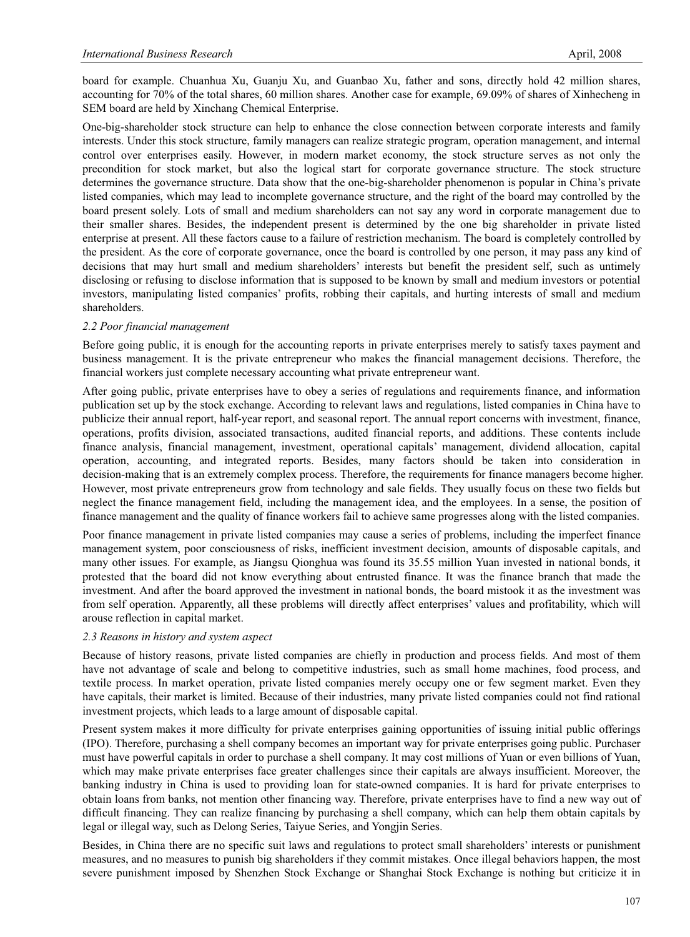board for example. Chuanhua Xu, Guanju Xu, and Guanbao Xu, father and sons, directly hold 42 million shares, accounting for 70% of the total shares, 60 million shares. Another case for example, 69.09% of shares of Xinhecheng in SEM board are held by Xinchang Chemical Enterprise.

One-big-shareholder stock structure can help to enhance the close connection between corporate interests and family interests. Under this stock structure, family managers can realize strategic program, operation management, and internal control over enterprises easily. However, in modern market economy, the stock structure serves as not only the precondition for stock market, but also the logical start for corporate governance structure. The stock structure determines the governance structure. Data show that the one-big-shareholder phenomenon is popular in China's private listed companies, which may lead to incomplete governance structure, and the right of the board may controlled by the board present solely. Lots of small and medium shareholders can not say any word in corporate management due to their smaller shares. Besides, the independent present is determined by the one big shareholder in private listed enterprise at present. All these factors cause to a failure of restriction mechanism. The board is completely controlled by the president. As the core of corporate governance, once the board is controlled by one person, it may pass any kind of decisions that may hurt small and medium shareholders' interests but benefit the president self, such as untimely disclosing or refusing to disclose information that is supposed to be known by small and medium investors or potential investors, manipulating listed companies' profits, robbing their capitals, and hurting interests of small and medium shareholders.

#### *2.2 Poor financial management*

Before going public, it is enough for the accounting reports in private enterprises merely to satisfy taxes payment and business management. It is the private entrepreneur who makes the financial management decisions. Therefore, the financial workers just complete necessary accounting what private entrepreneur want.

After going public, private enterprises have to obey a series of regulations and requirements finance, and information publication set up by the stock exchange. According to relevant laws and regulations, listed companies in China have to publicize their annual report, half-year report, and seasonal report. The annual report concerns with investment, finance, operations, profits division, associated transactions, audited financial reports, and additions. These contents include finance analysis, financial management, investment, operational capitals' management, dividend allocation, capital operation, accounting, and integrated reports. Besides, many factors should be taken into consideration in decision-making that is an extremely complex process. Therefore, the requirements for finance managers become higher. However, most private entrepreneurs grow from technology and sale fields. They usually focus on these two fields but neglect the finance management field, including the management idea, and the employees. In a sense, the position of finance management and the quality of finance workers fail to achieve same progresses along with the listed companies.

Poor finance management in private listed companies may cause a series of problems, including the imperfect finance management system, poor consciousness of risks, inefficient investment decision, amounts of disposable capitals, and many other issues. For example, as Jiangsu Qionghua was found its 35.55 million Yuan invested in national bonds, it protested that the board did not know everything about entrusted finance. It was the finance branch that made the investment. And after the board approved the investment in national bonds, the board mistook it as the investment was from self operation. Apparently, all these problems will directly affect enterprises' values and profitability, which will arouse reflection in capital market.

#### *2.3 Reasons in history and system aspect*

Because of history reasons, private listed companies are chiefly in production and process fields. And most of them have not advantage of scale and belong to competitive industries, such as small home machines, food process, and textile process. In market operation, private listed companies merely occupy one or few segment market. Even they have capitals, their market is limited. Because of their industries, many private listed companies could not find rational investment projects, which leads to a large amount of disposable capital.

Present system makes it more difficulty for private enterprises gaining opportunities of issuing initial public offerings (IPO). Therefore, purchasing a shell company becomes an important way for private enterprises going public. Purchaser must have powerful capitals in order to purchase a shell company. It may cost millions of Yuan or even billions of Yuan, which may make private enterprises face greater challenges since their capitals are always insufficient. Moreover, the banking industry in China is used to providing loan for state-owned companies. It is hard for private enterprises to obtain loans from banks, not mention other financing way. Therefore, private enterprises have to find a new way out of difficult financing. They can realize financing by purchasing a shell company, which can help them obtain capitals by legal or illegal way, such as Delong Series, Taiyue Series, and Yongjin Series.

Besides, in China there are no specific suit laws and regulations to protect small shareholders' interests or punishment measures, and no measures to punish big shareholders if they commit mistakes. Once illegal behaviors happen, the most severe punishment imposed by Shenzhen Stock Exchange or Shanghai Stock Exchange is nothing but criticize it in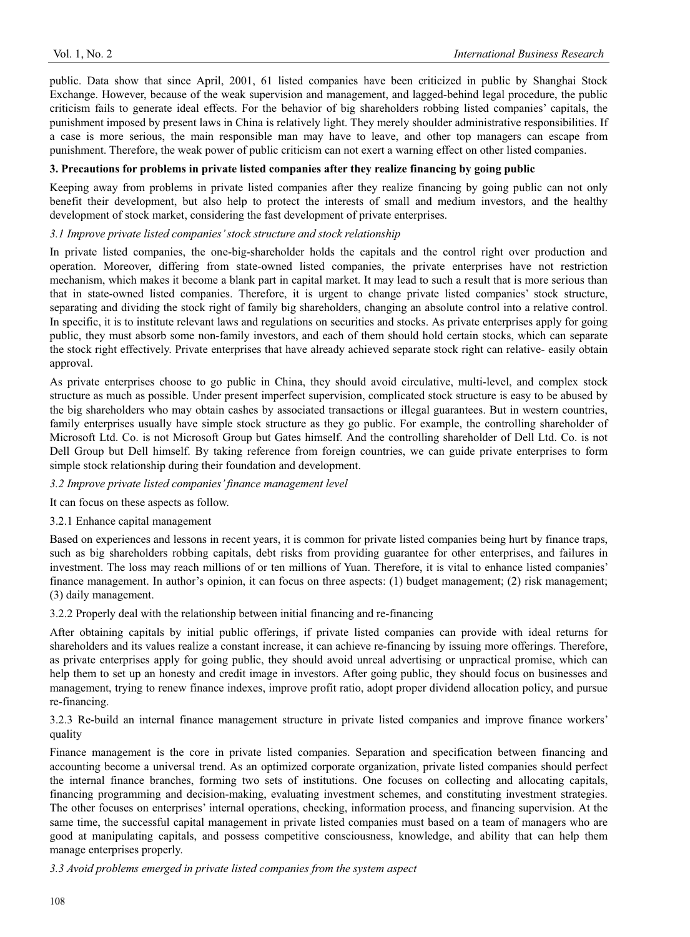public. Data show that since April, 2001, 61 listed companies have been criticized in public by Shanghai Stock Exchange. However, because of the weak supervision and management, and lagged-behind legal procedure, the public criticism fails to generate ideal effects. For the behavior of big shareholders robbing listed companies' capitals, the punishment imposed by present laws in China is relatively light. They merely shoulder administrative responsibilities. If a case is more serious, the main responsible man may have to leave, and other top managers can escape from punishment. Therefore, the weak power of public criticism can not exert a warning effect on other listed companies.

# **3. Precautions for problems in private listed companies after they realize financing by going public**

Keeping away from problems in private listed companies after they realize financing by going public can not only benefit their development, but also help to protect the interests of small and medium investors, and the healthy development of stock market, considering the fast development of private enterprises.

# *3.1 Improve private listed companies' stock structure and stock relationship*

In private listed companies, the one-big-shareholder holds the capitals and the control right over production and operation. Moreover, differing from state-owned listed companies, the private enterprises have not restriction mechanism, which makes it become a blank part in capital market. It may lead to such a result that is more serious than that in state-owned listed companies. Therefore, it is urgent to change private listed companies' stock structure, separating and dividing the stock right of family big shareholders, changing an absolute control into a relative control. In specific, it is to institute relevant laws and regulations on securities and stocks. As private enterprises apply for going public, they must absorb some non-family investors, and each of them should hold certain stocks, which can separate the stock right effectively. Private enterprises that have already achieved separate stock right can relative- easily obtain approval.

As private enterprises choose to go public in China, they should avoid circulative, multi-level, and complex stock structure as much as possible. Under present imperfect supervision, complicated stock structure is easy to be abused by the big shareholders who may obtain cashes by associated transactions or illegal guarantees. But in western countries, family enterprises usually have simple stock structure as they go public. For example, the controlling shareholder of Microsoft Ltd. Co. is not Microsoft Group but Gates himself. And the controlling shareholder of Dell Ltd. Co. is not Dell Group but Dell himself. By taking reference from foreign countries, we can guide private enterprises to form simple stock relationship during their foundation and development.

## *3.2 Improve private listed companies' finance management level*

It can focus on these aspects as follow.

## 3.2.1 Enhance capital management

Based on experiences and lessons in recent years, it is common for private listed companies being hurt by finance traps, such as big shareholders robbing capitals, debt risks from providing guarantee for other enterprises, and failures in investment. The loss may reach millions of or ten millions of Yuan. Therefore, it is vital to enhance listed companies' finance management. In author's opinion, it can focus on three aspects: (1) budget management; (2) risk management; (3) daily management.

3.2.2 Properly deal with the relationship between initial financing and re-financing

After obtaining capitals by initial public offerings, if private listed companies can provide with ideal returns for shareholders and its values realize a constant increase, it can achieve re-financing by issuing more offerings. Therefore, as private enterprises apply for going public, they should avoid unreal advertising or unpractical promise, which can help them to set up an honesty and credit image in investors. After going public, they should focus on businesses and management, trying to renew finance indexes, improve profit ratio, adopt proper dividend allocation policy, and pursue re-financing.

3.2.3 Re-build an internal finance management structure in private listed companies and improve finance workers' quality

Finance management is the core in private listed companies. Separation and specification between financing and accounting become a universal trend. As an optimized corporate organization, private listed companies should perfect the internal finance branches, forming two sets of institutions. One focuses on collecting and allocating capitals, financing programming and decision-making, evaluating investment schemes, and constituting investment strategies. The other focuses on enterprises' internal operations, checking, information process, and financing supervision. At the same time, the successful capital management in private listed companies must based on a team of managers who are good at manipulating capitals, and possess competitive consciousness, knowledge, and ability that can help them manage enterprises properly.

*3.3 Avoid problems emerged in private listed companies from the system aspect*